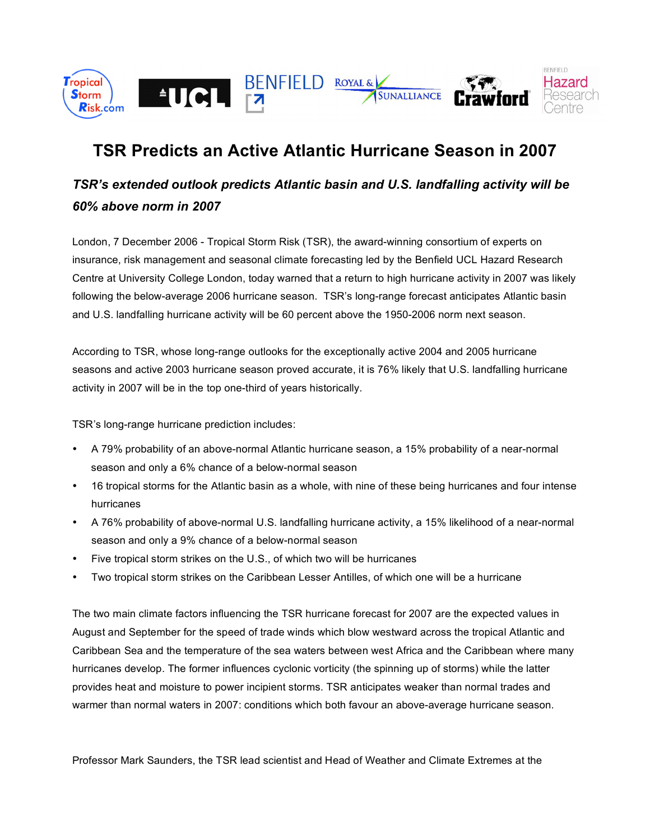

# **TSR Predicts an Active Atlantic Hurricane Season in 2007**

## *TSR's extended outlook predicts Atlantic basin and U.S. landfalling activity will be 60% above norm in 2007*

London, 7 December 2006 - Tropical Storm Risk (TSR), the award-winning consortium of experts on insurance, risk management and seasonal climate forecasting led by the Benfield UCL Hazard Research Centre at University College London, today warned that a return to high hurricane activity in 2007 was likely following the below-average 2006 hurricane season. TSR's long-range forecast anticipates Atlantic basin and U.S. landfalling hurricane activity will be 60 percent above the 1950-2006 norm next season.

According to TSR, whose long-range outlooks for the exceptionally active 2004 and 2005 hurricane seasons and active 2003 hurricane season proved accurate, it is 76% likely that U.S. landfalling hurricane activity in 2007 will be in the top one-third of years historically.

TSR's long-range hurricane prediction includes:

- A 79% probability of an above-normal Atlantic hurricane season, a 15% probability of a near-normal season and only a 6% chance of a below-normal season
- 16 tropical storms for the Atlantic basin as a whole, with nine of these being hurricanes and four intense hurricanes
- A 76% probability of above-normal U.S. landfalling hurricane activity, a 15% likelihood of a near-normal season and only a 9% chance of a below-normal season
- Five tropical storm strikes on the U.S., of which two will be hurricanes
- Two tropical storm strikes on the Caribbean Lesser Antilles, of which one will be a hurricane

The two main climate factors influencing the TSR hurricane forecast for 2007 are the expected values in August and September for the speed of trade winds which blow westward across the tropical Atlantic and Caribbean Sea and the temperature of the sea waters between west Africa and the Caribbean where many hurricanes develop. The former influences cyclonic vorticity (the spinning up of storms) while the latter provides heat and moisture to power incipient storms. TSR anticipates weaker than normal trades and warmer than normal waters in 2007: conditions which both favour an above-average hurricane season.

Professor Mark Saunders, the TSR lead scientist and Head of Weather and Climate Extremes at the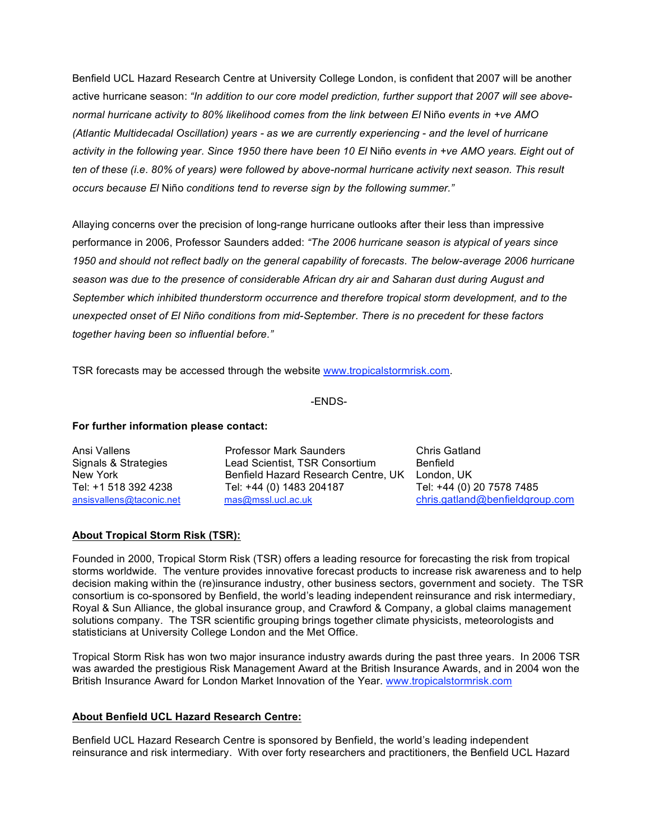Benfield UCL Hazard Research Centre at University College London, is confident that 2007 will be another active hurricane season: *"In addition to our core model prediction, further support that 2007 will see abovenormal hurricane activity to 80% likelihood comes from the link between El* Niño *events in +ve AMO (Atlantic Multidecadal Oscillation) years - as we are currently experiencing - and the level of hurricane* activity in the following year. Since 1950 there have been 10 El Niño events in +ve AMO years. Eight out of ten of these (i.e. 80% of years) were followed by above-normal hurricane activity next season. This result *occurs because El* Niño *conditions tend to reverse sign by the following summer."*

Allaying concerns over the precision of long-range hurricane outlooks after their less than impressive performance in 2006, Professor Saunders added: *"The 2006 hurricane season is atypical of years since 1950 and should not reflect badly on the general capability of forecasts. The below-average 2006 hurricane season was due to the presence of considerable African dry air and Saharan dust during August and September which inhibited thunderstorm occurrence and therefore tropical storm development, and to the unexpected onset of El Niño conditions from mid-September. There is no precedent for these factors together having been so influential before."*

TSR forecasts may be accessed through the website www.tropicalstormrisk.com.

-ENDS-

### **For further information please contact:**

Ansi Vallens Professor Mark Saunders Chris Gatland Signals & Strategies Lead Scientist, TSR Consortium Benfield New York **Benfield Hazard Research Centre, UK** London, UK Tel: +1 518 392 4238 Tel: +44 (0) 1483 204187 Tel: +44 (0) 20 7578 7485

ansisvallens@taconic.net mas@mssl.ucl.ac.uk chris.gatland@benfieldgroup.com

### **About Tropical Storm Risk (TSR):**

Founded in 2000, Tropical Storm Risk (TSR) offers a leading resource for forecasting the risk from tropical storms worldwide. The venture provides innovative forecast products to increase risk awareness and to help decision making within the (re)insurance industry, other business sectors, government and society. The TSR consortium is co-sponsored by Benfield, the world's leading independent reinsurance and risk intermediary, Royal & Sun Alliance, the global insurance group, and Crawford & Company, a global claims management solutions company. The TSR scientific grouping brings together climate physicists, meteorologists and statisticians at University College London and the Met Office.

Tropical Storm Risk has won two major insurance industry awards during the past three years. In 2006 TSR was awarded the prestigious Risk Management Award at the British Insurance Awards, and in 2004 won the British Insurance Award for London Market Innovation of the Year. www.tropicalstormrisk.com

### **About Benfield UCL Hazard Research Centre:**

Benfield UCL Hazard Research Centre is sponsored by Benfield, the world's leading independent reinsurance and risk intermediary. With over forty researchers and practitioners, the Benfield UCL Hazard